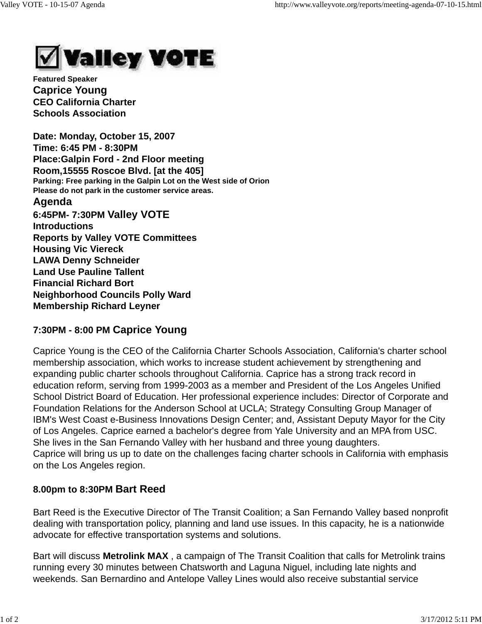

**Featured Speaker Caprice Young CEO California Charter Schools Association**

**Date: Monday, October 15, 2007 Time: 6:45 PM - 8:30PM Place:Galpin Ford - 2nd Floor meeting Room,15555 Roscoe Blvd. [at the 405] Parking: Free parking in the Galpin Lot on the West side of Orion Please do not park in the customer service areas.**

### **Agenda**

**6:45PM- 7:30PM Valley VOTE Introductions Reports by Valley VOTE Committees Housing Vic Viereck LAWA Denny Schneider Land Use Pauline Tallent Financial Richard Bort Neighborhood Councils Polly Ward Membership Richard Leyner**

# **7:30PM - 8:00 PM Caprice Young**

Caprice Young is the CEO of the California Charter Schools Association, California's charter school membership association, which works to increase student achievement by strengthening and expanding public charter schools throughout California. Caprice has a strong track record in education reform, serving from 1999-2003 as a member and President of the Los Angeles Unified School District Board of Education. Her professional experience includes: Director of Corporate and Foundation Relations for the Anderson School at UCLA; Strategy Consulting Group Manager of IBM's West Coast e-Business Innovations Design Center; and, Assistant Deputy Mayor for the City of Los Angeles. Caprice earned a bachelor's degree from Yale University and an MPA from USC. She lives in the San Fernando Valley with her husband and three young daughters. Caprice will bring us up to date on the challenges facing charter schools in California with emphasis on the Los Angeles region.

# **8.00pm to 8:30PM Bart Reed**

Bart Reed is the Executive Director of The Transit Coalition; a San Fernando Valley based nonprofit dealing with transportation policy, planning and land use issues. In this capacity, he is a nationwide advocate for effective transportation systems and solutions.

Bart will discuss **Metrolink MAX** , a campaign of The Transit Coalition that calls for Metrolink trains running every 30 minutes between Chatsworth and Laguna Niguel, including late nights and weekends. San Bernardino and Antelope Valley Lines would also receive substantial service